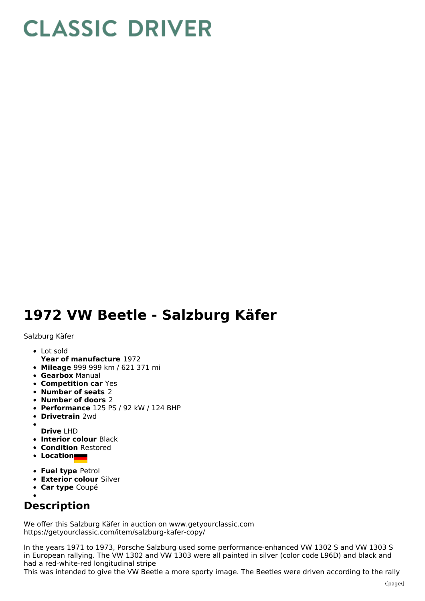## **CLASSIC DRIVER**

## **1972 VW Beetle - Salzburg Käfer**

Salzburg Käfer

- Lot sold
- **Year of manufacture** 1972
- **Mileage** 999 999 km / 621 371 mi
- **Gearbox** Manual
- **Competition car** Yes
- **Number of seats** 2
- **Number of doors** 2
- **Performance** 125 PS / 92 kW / 124 BHP
- **Drivetrain** 2wd
- **Drive** LHD
- **Interior colour** Black
- **Condition** Restored
- **Location**
- **Fuel type** Petrol
- **Exterior colour** Silver
- **Car type** Coupé

## **Description**

We offer this Salzburg Käfer in auction on www.getyourclassic.com https://getyourclassic.com/item/salzburg-kafer-copy/

In the years 1971 to 1973, Porsche Salzburg used some performance-enhanced VW 1302 S and VW 1303 S in European rallying. The VW 1302 and VW 1303 were all painted in silver (color code L96D) and black and had a red-white-red longitudinal stripe

This was intended to give the VW Beetle a more sporty image. The Beetles were driven according to the rally